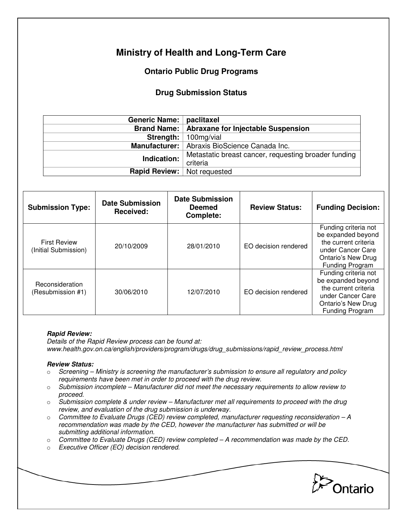# **Ministry of Health and Long-Term Care**

## **Ontario Public Drug Programs**

### **Drug Submission Status**

| Generic Name:   paclitaxel           |                                                      |  |  |
|--------------------------------------|------------------------------------------------------|--|--|
|                                      | Brand Name:   Abraxane for Injectable Suspension     |  |  |
|                                      | <b>Strength:</b>   $100 \text{mg/via}$               |  |  |
|                                      | Manufacturer:   Abraxis BioScience Canada Inc.       |  |  |
| Indication:                          | Metastatic breast cancer, requesting broader funding |  |  |
|                                      | criteria                                             |  |  |
| <b>Rapid Review:</b>   Not requested |                                                      |  |  |

| <b>Submission Type:</b>                     | <b>Date Submission</b><br>Received: | <b>Date Submission</b><br><b>Deemed</b><br><b>Complete:</b> | <b>Review Status:</b> | <b>Funding Decision:</b>                                                                                                                |
|---------------------------------------------|-------------------------------------|-------------------------------------------------------------|-----------------------|-----------------------------------------------------------------------------------------------------------------------------------------|
| <b>First Review</b><br>(Initial Submission) | 20/10/2009                          | 28/01/2010                                                  | EO decision rendered  | Funding criteria not<br>be expanded beyond<br>the current criteria<br>under Cancer Care<br>Ontario's New Drug<br>Funding Program        |
| Reconsideration<br>(Resubmission #1)        | 30/06/2010                          | 12/07/2010                                                  | EO decision rendered  | Funding criteria not<br>be expanded beyond<br>the current criteria<br>under Cancer Care<br><b>Ontario's New Drug</b><br>Funding Program |

#### **Rapid Review:**

Details of the Rapid Review process can be found at: www.health.gov.on.ca/english/providers/program/drugs/drug\_submissions/rapid\_review\_process.html

#### **Review Status:**

- $\circ$  Screening Ministry is screening the manufacturer's submission to ensure all regulatory and policy requirements have been met in order to proceed with the drug review.
- $\circ$  Submission incomplete Manufacturer did not meet the necessary requirements to allow review to proceed.
- o Submission complete & under review Manufacturer met all requirements to proceed with the drug review, and evaluation of the drug submission is underway.
- $\circ$  Committee to Evaluate Drugs (CED) review completed, manufacturer requesting reconsideration A recommendation was made by the CED, however the manufacturer has submitted or will be submitting additional information.
- $\circ$  Committee to Evaluate Drugs (CED) review completed  $-A$  recommendation was made by the CED.
- o Executive Officer (EO) decision rendered.